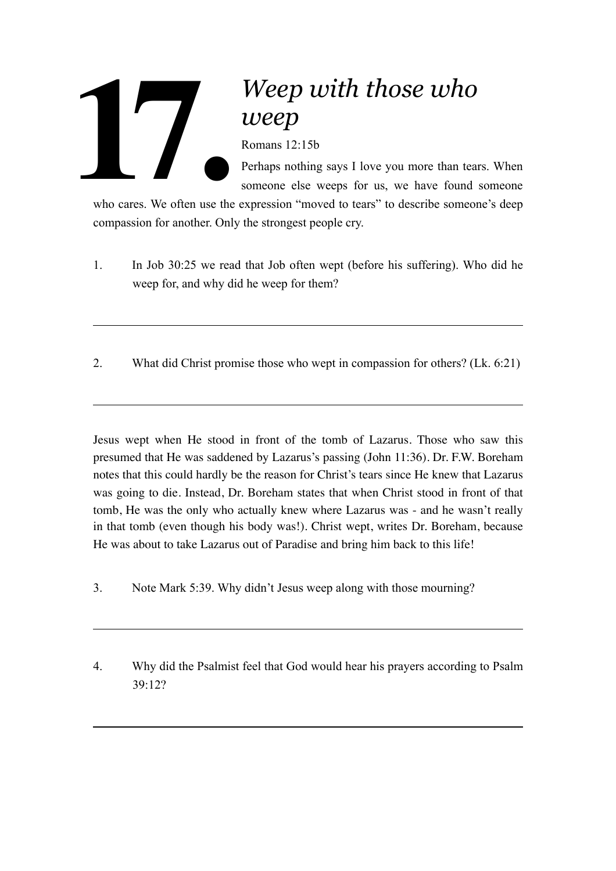## *Weep with those who weep*

Romans 12:15b

Perhaps nothing says I love you more than tears. When someone else weeps for us, we have found someone

who cares. We often use the expression "moved to tears" to describe someone's deep compassion for another. Only the strongest people cry. Who cares. We often use the

- 1. In Job 30:25 we read that Job often wept (before his suffering). Who did he weep for, and why did he weep for them?
- 2. What did Christ promise those who wept in compassion for others? (Lk. 6:21)

Jesus wept when He stood in front of the tomb of Lazarus. Those who saw this presumed that He was saddened by Lazarus's passing (John 11:36). Dr. F.W. Boreham notes that this could hardly be the reason for Christ's tears since He knew that Lazarus was going to die. Instead, Dr. Boreham states that when Christ stood in front of that tomb, He was the only who actually knew where Lazarus was - and he wasn't really in that tomb (even though his body was!). Christ wept, writes Dr. Boreham, because He was about to take Lazarus out of Paradise and bring him back to this life!

- 3. Note Mark 5:39. Why didn't Jesus weep along with those mourning?
- 4. Why did the Psalmist feel that God would hear his prayers according to Psalm 39:12?